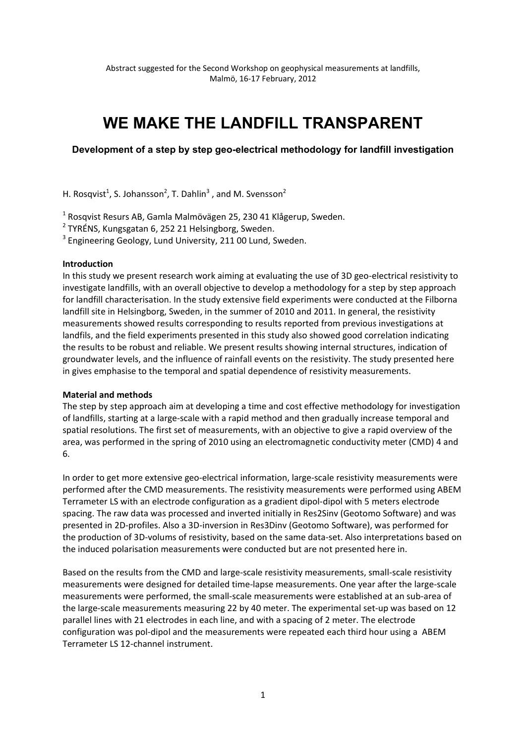# WE MAKE THE LANDFILL TRANSPARENT

# Development of a step by step geo-electrical methodology for landfill investigation

H. Rosqvist<sup>1</sup>, S. Johansson<sup>2</sup>, T. Dahlin<sup>3</sup>, and M. Svensson<sup>2</sup>

<sup>1</sup> Rosqvist Resurs AB, Gamla Malmövägen 25, 230 41 Klågerup, Sweden.

<sup>2</sup> TYRÉNS, Kungsgatan 6, 252 21 Helsingborg, Sweden.

<sup>3</sup> Engineering Geology, Lund University, 211 00 Lund, Sweden.

#### Introduction

In this study we present research work aiming at evaluating the use of 3D geo-electrical resistivity to investigate landfills, with an overall objective to develop a methodology for a step by step approach for landfill characterisation. In the study extensive field experiments were conducted at the Filborna landfill site in Helsingborg, Sweden, in the summer of 2010 and 2011. In general, the resistivity measurements showed results corresponding to results reported from previous investigations at landfils, and the field experiments presented in this study also showed good correlation indicating the results to be robust and reliable. We present results showing internal structures, indication of groundwater levels, and the influence of rainfall events on the resistivity. The study presented here in gives emphasise to the temporal and spatial dependence of resistivity measurements.

### **Material and methods**

The step by step approach aim at developing a time and cost effective methodology for investigation of landfills, starting at a large-scale with a rapid method and then gradually increase temporal and spatial resolutions. The first set of measurements, with an objective to give a rapid overview of the area, was performed in the spring of 2010 using an electromagnetic conductivity meter (CMD) 4 and 6.

In order to get more extensive geo-electrical information, large-scale resistivity measurements were performed after the CMD measurements. The resistivity measurements were performed using ABEM Terrameter LS with an electrode configuration as a gradient dipol-dipol with 5 meters electrode spacing. The raw data was processed and inverted initially in Res2Sinv (Geotomo Software) and was presented in 2D-profiles. Also a 3D-inversion in Res3Dinv (Geotomo Software), was performed for the production of 3D-volums of resistivity, based on the same data-set. Also interpretations based on the induced polarisation measurements were conducted but are not presented here in.

Based on the results from the CMD and large-scale resistivity measurements, small-scale resistivity measurements were designed for detailed time-lapse measurements. One year after the large-scale measurements were performed, the small-scale measurements were established at an sub-area of the large-scale measurements measuring 22 by 40 meter. The experimental set-up was based on 12 parallel lines with 21 electrodes in each line, and with a spacing of 2 meter. The electrode configuration was pol-dipol and the measurements were repeated each third hour using a ABEM Terrameter LS 12-channel instrument.